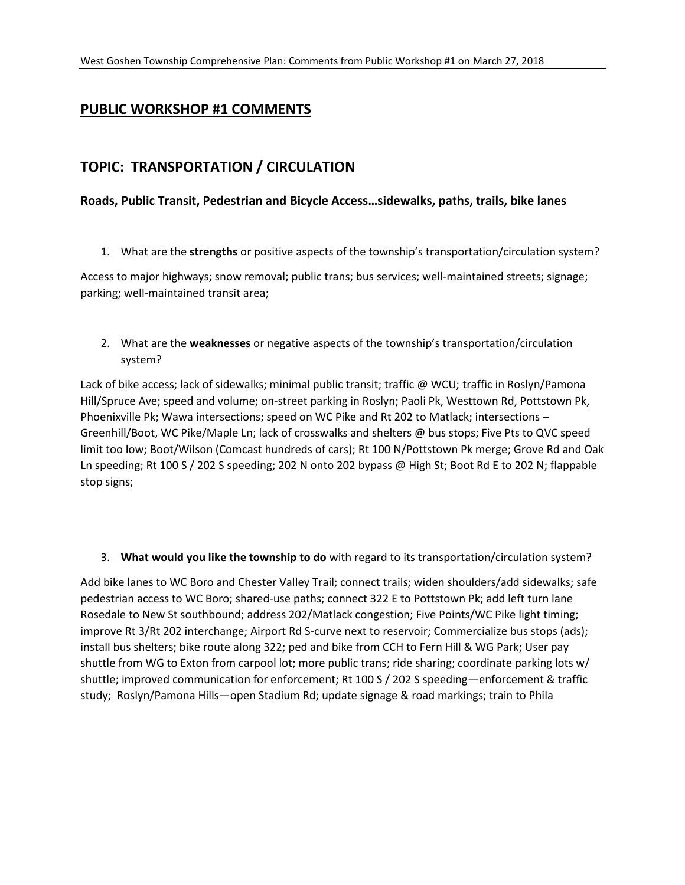## **PUBLIC WORKSHOP #1 COMMENTS**

### **TOPIC: TRANSPORTATION / CIRCULATION**

#### **Roads, Public Transit, Pedestrian and Bicycle Access…sidewalks, paths, trails, bike lanes**

1. What are the **strengths** or positive aspects of the township's transportation/circulation system?

Access to major highways; snow removal; public trans; bus services; well-maintained streets; signage; parking; well-maintained transit area;

2. What are the **weaknesses** or negative aspects of the township's transportation/circulation system?

Lack of bike access; lack of sidewalks; minimal public transit; traffic @ WCU; traffic in Roslyn/Pamona Hill/Spruce Ave; speed and volume; on-street parking in Roslyn; Paoli Pk, Westtown Rd, Pottstown Pk, Phoenixville Pk; Wawa intersections; speed on WC Pike and Rt 202 to Matlack; intersections – Greenhill/Boot, WC Pike/Maple Ln; lack of crosswalks and shelters @ bus stops; Five Pts to QVC speed limit too low; Boot/Wilson (Comcast hundreds of cars); Rt 100 N/Pottstown Pk merge; Grove Rd and Oak Ln speeding; Rt 100 S / 202 S speeding; 202 N onto 202 bypass @ High St; Boot Rd E to 202 N; flappable stop signs;

#### 3. **What would you like the township to do** with regard to its transportation/circulation system?

Add bike lanes to WC Boro and Chester Valley Trail; connect trails; widen shoulders/add sidewalks; safe pedestrian access to WC Boro; shared-use paths; connect 322 E to Pottstown Pk; add left turn lane Rosedale to New St southbound; address 202/Matlack congestion; Five Points/WC Pike light timing; improve Rt 3/Rt 202 interchange; Airport Rd S-curve next to reservoir; Commercialize bus stops (ads); install bus shelters; bike route along 322; ped and bike from CCH to Fern Hill & WG Park; User pay shuttle from WG to Exton from carpool lot; more public trans; ride sharing; coordinate parking lots w/ shuttle; improved communication for enforcement; Rt 100 S / 202 S speeding—enforcement & traffic study; Roslyn/Pamona Hills—open Stadium Rd; update signage & road markings; train to Phila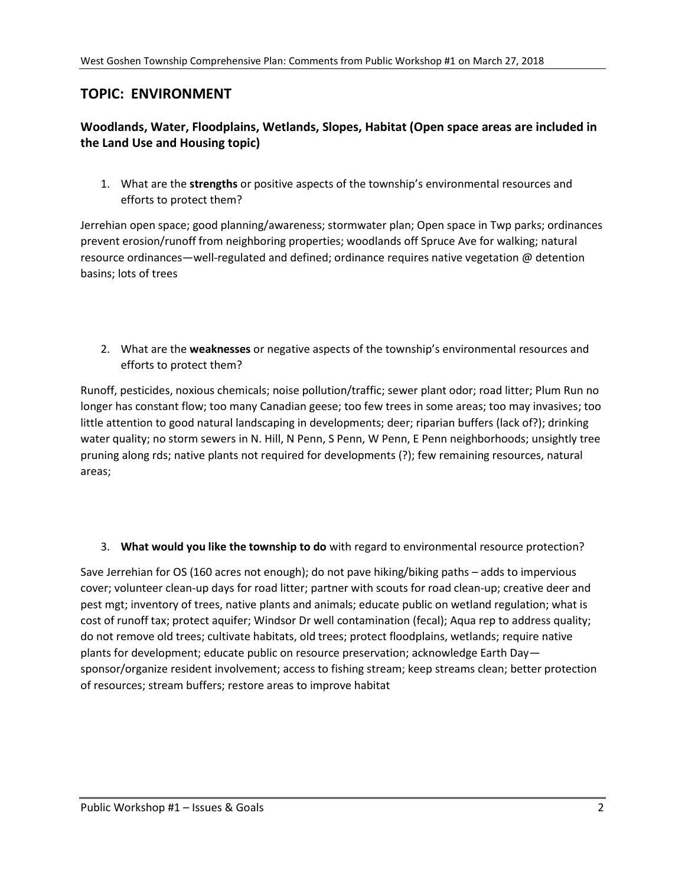## **TOPIC: ENVIRONMENT**

### **Woodlands, Water, Floodplains, Wetlands, Slopes, Habitat (Open space areas are included in the Land Use and Housing topic)**

1. What are the **strengths** or positive aspects of the township's environmental resources and efforts to protect them?

Jerrehian open space; good planning/awareness; stormwater plan; Open space in Twp parks; ordinances prevent erosion/runoff from neighboring properties; woodlands off Spruce Ave for walking; natural resource ordinances—well-regulated and defined; ordinance requires native vegetation @ detention basins; lots of trees

2. What are the **weaknesses** or negative aspects of the township's environmental resources and efforts to protect them?

Runoff, pesticides, noxious chemicals; noise pollution/traffic; sewer plant odor; road litter; Plum Run no longer has constant flow; too many Canadian geese; too few trees in some areas; too may invasives; too little attention to good natural landscaping in developments; deer; riparian buffers (lack of?); drinking water quality; no storm sewers in N. Hill, N Penn, S Penn, W Penn, E Penn neighborhoods; unsightly tree pruning along rds; native plants not required for developments (?); few remaining resources, natural areas;

#### 3. **What would you like the township to do** with regard to environmental resource protection?

Save Jerrehian for OS (160 acres not enough); do not pave hiking/biking paths – adds to impervious cover; volunteer clean-up days for road litter; partner with scouts for road clean-up; creative deer and pest mgt; inventory of trees, native plants and animals; educate public on wetland regulation; what is cost of runoff tax; protect aquifer; Windsor Dr well contamination (fecal); Aqua rep to address quality; do not remove old trees; cultivate habitats, old trees; protect floodplains, wetlands; require native plants for development; educate public on resource preservation; acknowledge Earth Day sponsor/organize resident involvement; access to fishing stream; keep streams clean; better protection of resources; stream buffers; restore areas to improve habitat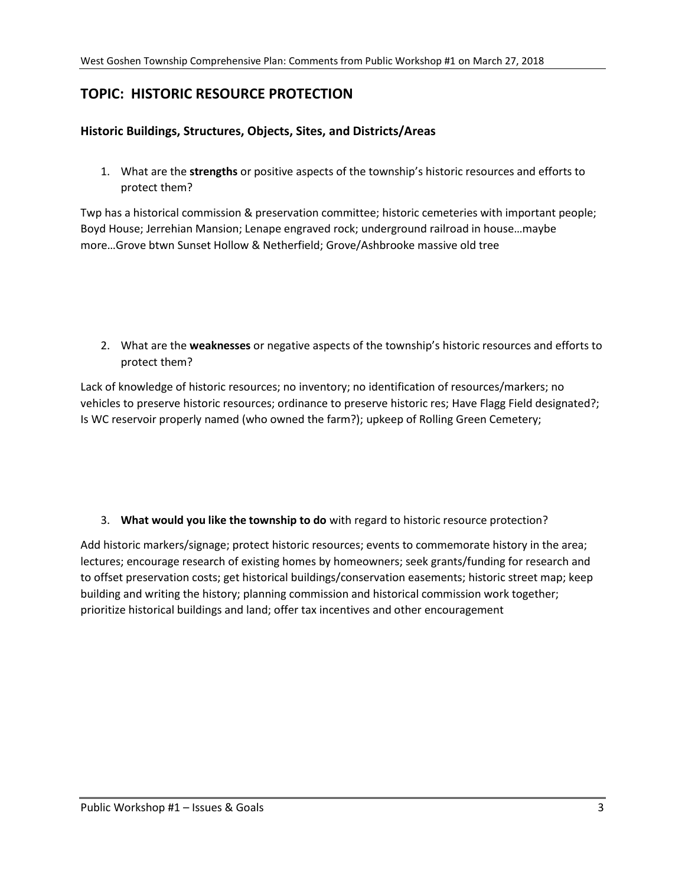## **TOPIC: HISTORIC RESOURCE PROTECTION**

#### **Historic Buildings, Structures, Objects, Sites, and Districts/Areas**

1. What are the **strengths** or positive aspects of the township's historic resources and efforts to protect them?

Twp has a historical commission & preservation committee; historic cemeteries with important people; Boyd House; Jerrehian Mansion; Lenape engraved rock; underground railroad in house…maybe more…Grove btwn Sunset Hollow & Netherfield; Grove/Ashbrooke massive old tree

2. What are the **weaknesses** or negative aspects of the township's historic resources and efforts to protect them?

Lack of knowledge of historic resources; no inventory; no identification of resources/markers; no vehicles to preserve historic resources; ordinance to preserve historic res; Have Flagg Field designated?; Is WC reservoir properly named (who owned the farm?); upkeep of Rolling Green Cemetery;

#### 3. **What would you like the township to do** with regard to historic resource protection?

Add historic markers/signage; protect historic resources; events to commemorate history in the area; lectures; encourage research of existing homes by homeowners; seek grants/funding for research and to offset preservation costs; get historical buildings/conservation easements; historic street map; keep building and writing the history; planning commission and historical commission work together; prioritize historical buildings and land; offer tax incentives and other encouragement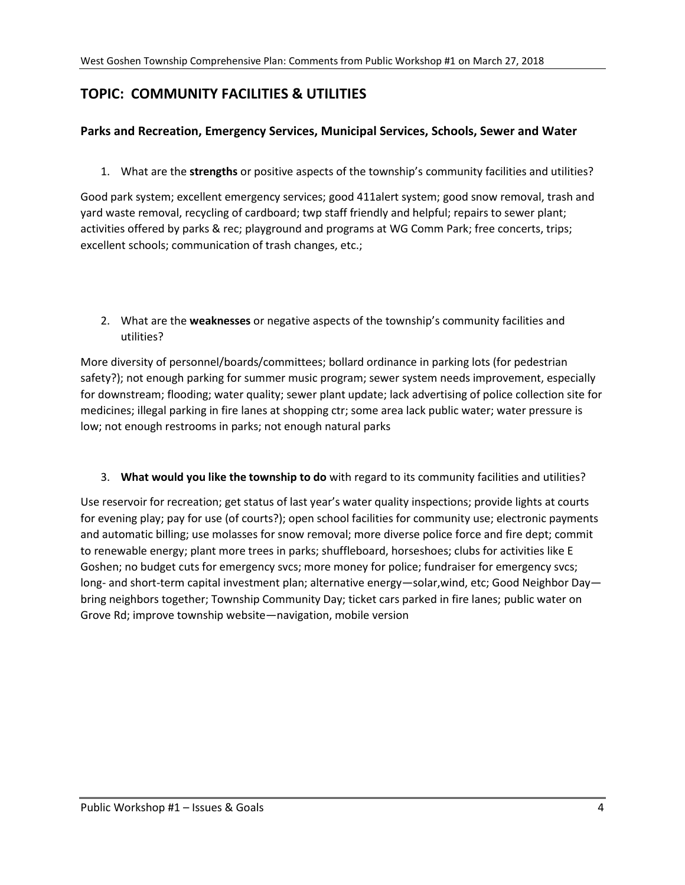# **TOPIC: COMMUNITY FACILITIES & UTILITIES**

#### **Parks and Recreation, Emergency Services, Municipal Services, Schools, Sewer and Water**

1. What are the **strengths** or positive aspects of the township's community facilities and utilities?

Good park system; excellent emergency services; good 411alert system; good snow removal, trash and yard waste removal, recycling of cardboard; twp staff friendly and helpful; repairs to sewer plant; activities offered by parks & rec; playground and programs at WG Comm Park; free concerts, trips; excellent schools; communication of trash changes, etc.;

2. What are the **weaknesses** or negative aspects of the township's community facilities and utilities?

More diversity of personnel/boards/committees; bollard ordinance in parking lots (for pedestrian safety?); not enough parking for summer music program; sewer system needs improvement, especially for downstream; flooding; water quality; sewer plant update; lack advertising of police collection site for medicines; illegal parking in fire lanes at shopping ctr; some area lack public water; water pressure is low; not enough restrooms in parks; not enough natural parks

3. **What would you like the township to do** with regard to its community facilities and utilities?

Use reservoir for recreation; get status of last year's water quality inspections; provide lights at courts for evening play; pay for use (of courts?); open school facilities for community use; electronic payments and automatic billing; use molasses for snow removal; more diverse police force and fire dept; commit to renewable energy; plant more trees in parks; shuffleboard, horseshoes; clubs for activities like E Goshen; no budget cuts for emergency svcs; more money for police; fundraiser for emergency svcs; long- and short-term capital investment plan; alternative energy—solar,wind, etc; Good Neighbor Day bring neighbors together; Township Community Day; ticket cars parked in fire lanes; public water on Grove Rd; improve township website—navigation, mobile version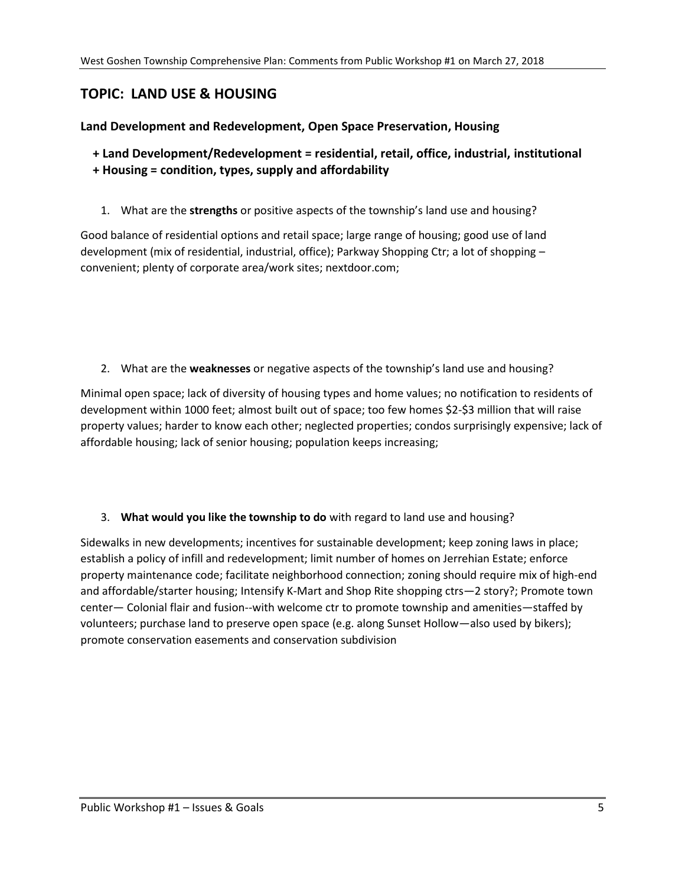## **TOPIC: LAND USE & HOUSING**

### **Land Development and Redevelopment, Open Space Preservation, Housing**

- **+ Land Development/Redevelopment = residential, retail, office, industrial, institutional + Housing = condition, types, supply and affordability** 
	- 1. What are the **strengths** or positive aspects of the township's land use and housing?

Good balance of residential options and retail space; large range of housing; good use of land development (mix of residential, industrial, office); Parkway Shopping Ctr; a lot of shopping convenient; plenty of corporate area/work sites; nextdoor.com;

2. What are the **weaknesses** or negative aspects of the township's land use and housing?

Minimal open space; lack of diversity of housing types and home values; no notification to residents of development within 1000 feet; almost built out of space; too few homes \$2-\$3 million that will raise property values; harder to know each other; neglected properties; condos surprisingly expensive; lack of affordable housing; lack of senior housing; population keeps increasing;

#### 3. **What would you like the township to do** with regard to land use and housing?

Sidewalks in new developments; incentives for sustainable development; keep zoning laws in place; establish a policy of infill and redevelopment; limit number of homes on Jerrehian Estate; enforce property maintenance code; facilitate neighborhood connection; zoning should require mix of high-end and affordable/starter housing; Intensify K-Mart and Shop Rite shopping ctrs—2 story?; Promote town center— Colonial flair and fusion--with welcome ctr to promote township and amenities—staffed by volunteers; purchase land to preserve open space (e.g. along Sunset Hollow—also used by bikers); promote conservation easements and conservation subdivision